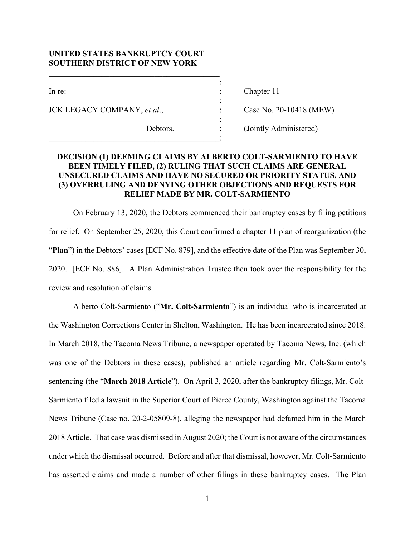# **UNITED STATES BANKRUPTCY COURT SOUTHERN DISTRICT OF NEW YORK**

the contract of the contract of the contract of the contract of the contract of

the contract of the contract of the contract of the contract of the contract of

 $\mathcal{L}_\text{max} = \mathcal{L}_\text{max} = \mathcal{L}_\text{max} = \mathcal{L}_\text{max} = \mathcal{L}_\text{max} = \mathcal{L}_\text{max} = \mathcal{L}_\text{max}$ 

JCK LEGACY COMPANY, *et al*., : Case No. 20-10418 (MEW)

In re: Chapter 11

Debtors. : (Jointly Administered)

# **DECISION (1) DEEMING CLAIMS BY ALBERTO COLT-SARMIENTO TO HAVE BEEN TIMELY FILED, (2) RULING THAT SUCH CLAIMS ARE GENERAL UNSECURED CLAIMS AND HAVE NO SECURED OR PRIORITY STATUS, AND (3) OVERRULING AND DENYING OTHER OBJECTIONS AND REQUESTS FOR RELIEF MADE BY MR. COLT-SARMIENTO**

:

On February 13, 2020, the Debtors commenced their bankruptcy cases by filing petitions for relief. On September 25, 2020, this Court confirmed a chapter 11 plan of reorganization (the "**Plan**") in the Debtors' cases [ECF No. 879], and the effective date of the Plan was September 30, 2020. [ECF No. 886]. A Plan Administration Trustee then took over the responsibility for the review and resolution of claims.

Alberto Colt-Sarmiento ("**Mr. Colt-Sarmiento**") is an individual who is incarcerated at the Washington Corrections Center in Shelton, Washington. He has been incarcerated since 2018. In March 2018, the Tacoma News Tribune, a newspaper operated by Tacoma News, Inc. (which was one of the Debtors in these cases), published an article regarding Mr. Colt-Sarmiento's sentencing (the "**March 2018 Article**"). On April 3, 2020, after the bankruptcy filings, Mr. Colt-Sarmiento filed a lawsuit in the Superior Court of Pierce County, Washington against the Tacoma News Tribune (Case no. 20-2-05809-8), alleging the newspaper had defamed him in the March 2018 Article. That case was dismissed in August 2020; the Court is not aware of the circumstances under which the dismissal occurred. Before and after that dismissal, however, Mr. Colt-Sarmiento has asserted claims and made a number of other filings in these bankruptcy cases. The Plan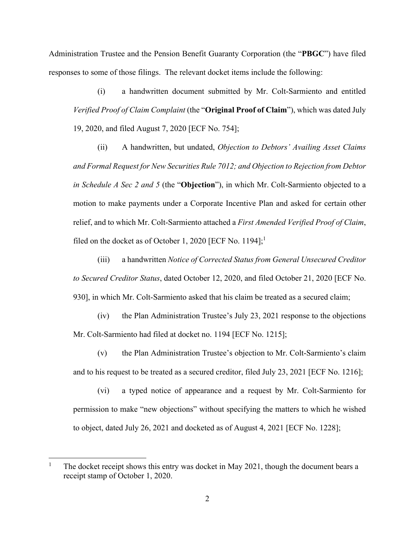Administration Trustee and the Pension Benefit Guaranty Corporation (the "**PBGC**") have filed responses to some of those filings. The relevant docket items include the following:

(i) a handwritten document submitted by Mr. Colt-Sarmiento and entitled *Verified Proof of Claim Complaint* (the "**Original Proof of Claim**"), which was dated July 19, 2020, and filed August 7, 2020 [ECF No. 754];

(ii) A handwritten, but undated, *Objection to Debtors' Availing Asset Claims and Formal Request for New Securities Rule 7012; and Objection to Rejection from Debtor in Schedule A Sec 2 and 5* (the "**Objection**"), in which Mr. Colt-Sarmiento objected to a motion to make payments under a Corporate Incentive Plan and asked for certain other relief, and to which Mr. Colt-Sarmiento attached a *First Amended Verified Proof of Claim*, filed on the docket as of October 1, 2020 [ECF No. 1194];<sup>1</sup>

(iii) a handwritten *Notice of Corrected Status from General Unsecured Creditor to Secured Creditor Status*, dated October 12, 2020, and filed October 21, 2020 [ECF No. 930], in which Mr. Colt-Sarmiento asked that his claim be treated as a secured claim;

(iv) the Plan Administration Trustee's July 23, 2021 response to the objections Mr. Colt-Sarmiento had filed at docket no. 1194 [ECF No. 1215];

(v) the Plan Administration Trustee's objection to Mr. Colt-Sarmiento's claim and to his request to be treated as a secured creditor, filed July 23, 2021 [ECF No. 1216];

(vi) a typed notice of appearance and a request by Mr. Colt-Sarmiento for permission to make "new objections" without specifying the matters to which he wished to object, dated July 26, 2021 and docketed as of August 4, 2021 [ECF No. 1228];

<sup>1</sup> The docket receipt shows this entry was docket in May 2021, though the document bears a receipt stamp of October 1, 2020.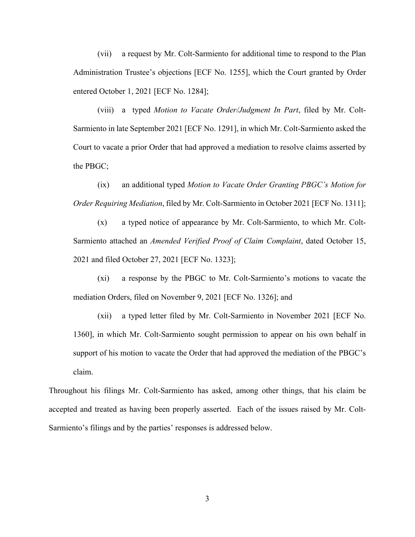(vii) a request by Mr. Colt-Sarmiento for additional time to respond to the Plan Administration Trustee's objections [ECF No. 1255], which the Court granted by Order entered October 1, 2021 [ECF No. 1284];

(viii) a typed *Motion to Vacate Order/Judgment In Part*, filed by Mr. Colt-Sarmiento in late September 2021 [ECF No. 1291], in which Mr. Colt-Sarmiento asked the Court to vacate a prior Order that had approved a mediation to resolve claims asserted by the PBGC;

(ix) an additional typed *Motion to Vacate Order Granting PBGC's Motion for Order Requiring Mediation*, filed by Mr. Colt-Sarmiento in October 2021 [ECF No. 1311];

(x) a typed notice of appearance by Mr. Colt-Sarmiento, to which Mr. Colt-Sarmiento attached an *Amended Verified Proof of Claim Complaint*, dated October 15, 2021 and filed October 27, 2021 [ECF No. 1323];

(xi) a response by the PBGC to Mr. Colt-Sarmiento's motions to vacate the mediation Orders, filed on November 9, 2021 [ECF No. 1326]; and

(xii) a typed letter filed by Mr. Colt-Sarmiento in November 2021 [ECF No. 1360], in which Mr. Colt-Sarmiento sought permission to appear on his own behalf in support of his motion to vacate the Order that had approved the mediation of the PBGC's claim.

Throughout his filings Mr. Colt-Sarmiento has asked, among other things, that his claim be accepted and treated as having been properly asserted. Each of the issues raised by Mr. Colt-Sarmiento's filings and by the parties' responses is addressed below.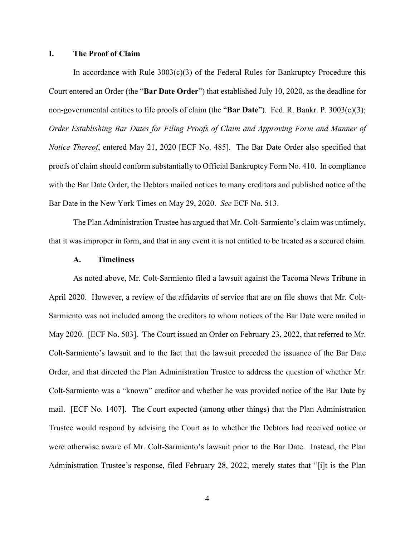#### **I. The Proof of Claim**

In accordance with Rule  $3003(c)(3)$  of the Federal Rules for Bankruptcy Procedure this Court entered an Order (the "**Bar Date Order**") that established July 10, 2020, as the deadline for non-governmental entities to file proofs of claim (the "**Bar Date**"). Fed. R. Bankr. P. 3003(c)(3); *Order Establishing Bar Dates for Filing Proofs of Claim and Approving Form and Manner of Notice Thereof*, entered May 21, 2020 [ECF No. 485]. The Bar Date Order also specified that proofs of claim should conform substantially to Official Bankruptcy Form No. 410. In compliance with the Bar Date Order, the Debtors mailed notices to many creditors and published notice of the Bar Date in the New York Times on May 29, 2020. *See* ECF No. 513.

The Plan Administration Trustee has argued that Mr. Colt-Sarmiento's claim was untimely, that it was improper in form, and that in any event it is not entitled to be treated as a secured claim.

### **A. Timeliness**

As noted above, Mr. Colt-Sarmiento filed a lawsuit against the Tacoma News Tribune in April 2020. However, a review of the affidavits of service that are on file shows that Mr. Colt-Sarmiento was not included among the creditors to whom notices of the Bar Date were mailed in May 2020. [ECF No. 503]. The Court issued an Order on February 23, 2022, that referred to Mr. Colt-Sarmiento's lawsuit and to the fact that the lawsuit preceded the issuance of the Bar Date Order, and that directed the Plan Administration Trustee to address the question of whether Mr. Colt-Sarmiento was a "known" creditor and whether he was provided notice of the Bar Date by mail. [ECF No. 1407]. The Court expected (among other things) that the Plan Administration Trustee would respond by advising the Court as to whether the Debtors had received notice or were otherwise aware of Mr. Colt-Sarmiento's lawsuit prior to the Bar Date. Instead, the Plan Administration Trustee's response, filed February 28, 2022, merely states that "[i]t is the Plan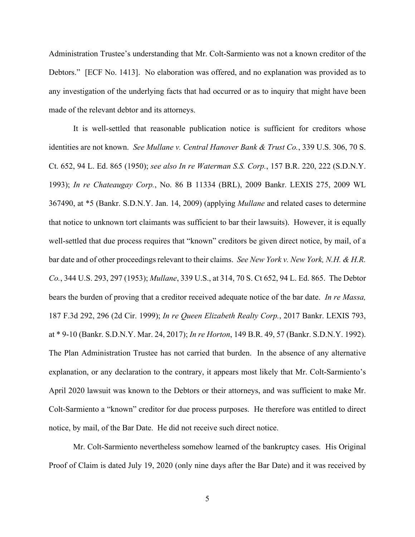Administration Trustee's understanding that Mr. Colt-Sarmiento was not a known creditor of the Debtors." [ECF No. 1413]. No elaboration was offered, and no explanation was provided as to any investigation of the underlying facts that had occurred or as to inquiry that might have been made of the relevant debtor and its attorneys.

It is well-settled that reasonable publication notice is sufficient for creditors whose identities are not known. *See Mullane v. Central Hanover Bank & Trust Co.*, 339 U.S. 306, 70 S. Ct. 652, 94 L. Ed. 865 (1950); *see also In re Waterman S.S. Corp.*, 157 B.R. 220, 222 (S.D.N.Y. 1993); *In re Chateaugay Corp.*, No. 86 B 11334 (BRL), 2009 Bankr. LEXIS 275, 2009 WL 367490, at \*5 (Bankr. S.D.N.Y. Jan. 14, 2009) (applying *Mullane* and related cases to determine that notice to unknown tort claimants was sufficient to bar their lawsuits). However, it is equally well-settled that due process requires that "known" creditors be given direct notice, by mail, of a bar date and of other proceedings relevant to their claims. *See New York v. New York, N.H. & H.R. Co.*, 344 U.S. 293, 297 (1953); *Mullane*, 339 U.S., at 314, 70 S. Ct 652, 94 L. Ed. 865. The Debtor bears the burden of proving that a creditor received adequate notice of the bar date. *In re Massa,*  187 F.3d 292, 296 (2d Cir. 1999); *In re Queen Elizabeth Realty Corp.*, 2017 Bankr. LEXIS 793, at \* 9-10 (Bankr. S.D.N.Y. Mar. 24, 2017); *In re Horton*, 149 B.R. 49, 57 (Bankr. S.D.N.Y. 1992). The Plan Administration Trustee has not carried that burden. In the absence of any alternative explanation, or any declaration to the contrary, it appears most likely that Mr. Colt-Sarmiento's April 2020 lawsuit was known to the Debtors or their attorneys, and was sufficient to make Mr. Colt-Sarmiento a "known" creditor for due process purposes. He therefore was entitled to direct notice, by mail, of the Bar Date. He did not receive such direct notice.

Mr. Colt-Sarmiento nevertheless somehow learned of the bankruptcy cases. His Original Proof of Claim is dated July 19, 2020 (only nine days after the Bar Date) and it was received by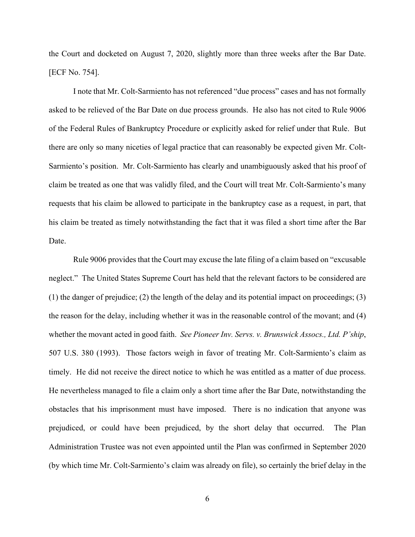the Court and docketed on August 7, 2020, slightly more than three weeks after the Bar Date. [ECF No. 754].

I note that Mr. Colt-Sarmiento has not referenced "due process" cases and has not formally asked to be relieved of the Bar Date on due process grounds. He also has not cited to Rule 9006 of the Federal Rules of Bankruptcy Procedure or explicitly asked for relief under that Rule. But there are only so many niceties of legal practice that can reasonably be expected given Mr. Colt-Sarmiento's position. Mr. Colt-Sarmiento has clearly and unambiguously asked that his proof of claim be treated as one that was validly filed, and the Court will treat Mr. Colt-Sarmiento's many requests that his claim be allowed to participate in the bankruptcy case as a request, in part, that his claim be treated as timely notwithstanding the fact that it was filed a short time after the Bar Date.

Rule 9006 provides that the Court may excuse the late filing of a claim based on "excusable neglect." The United States Supreme Court has held that the relevant factors to be considered are (1) the danger of prejudice; (2) the length of the delay and its potential impact on proceedings; (3) the reason for the delay, including whether it was in the reasonable control of the movant; and (4) whether the movant acted in good faith. *See Pioneer Inv. Servs. v. Brunswick Assocs., Ltd. P'ship*, 507 U.S. 380 (1993). Those factors weigh in favor of treating Mr. Colt-Sarmiento's claim as timely. He did not receive the direct notice to which he was entitled as a matter of due process. He nevertheless managed to file a claim only a short time after the Bar Date, notwithstanding the obstacles that his imprisonment must have imposed. There is no indication that anyone was prejudiced, or could have been prejudiced, by the short delay that occurred. The Plan Administration Trustee was not even appointed until the Plan was confirmed in September 2020 (by which time Mr. Colt-Sarmiento's claim was already on file), so certainly the brief delay in the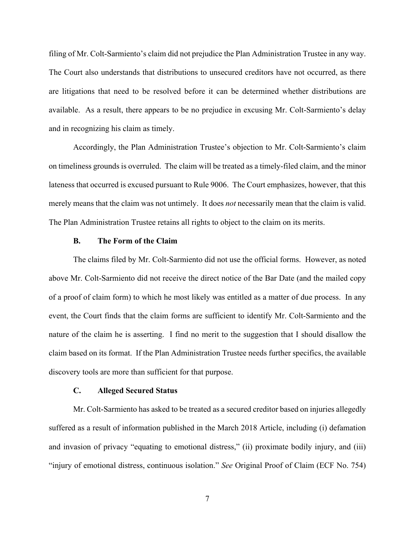filing of Mr. Colt-Sarmiento's claim did not prejudice the Plan Administration Trustee in any way. The Court also understands that distributions to unsecured creditors have not occurred, as there are litigations that need to be resolved before it can be determined whether distributions are available. As a result, there appears to be no prejudice in excusing Mr. Colt-Sarmiento's delay and in recognizing his claim as timely.

Accordingly, the Plan Administration Trustee's objection to Mr. Colt-Sarmiento's claim on timeliness grounds is overruled. The claim will be treated as a timely-filed claim, and the minor lateness that occurred is excused pursuant to Rule 9006. The Court emphasizes, however, that this merely means that the claim was not untimely. It does *not* necessarily mean that the claim is valid. The Plan Administration Trustee retains all rights to object to the claim on its merits.

### **B. The Form of the Claim**

 The claims filed by Mr. Colt-Sarmiento did not use the official forms. However, as noted above Mr. Colt-Sarmiento did not receive the direct notice of the Bar Date (and the mailed copy of a proof of claim form) to which he most likely was entitled as a matter of due process. In any event, the Court finds that the claim forms are sufficient to identify Mr. Colt-Sarmiento and the nature of the claim he is asserting. I find no merit to the suggestion that I should disallow the claim based on its format. If the Plan Administration Trustee needs further specifics, the available discovery tools are more than sufficient for that purpose.

### **C. Alleged Secured Status**

Mr. Colt-Sarmiento has asked to be treated as a secured creditor based on injuries allegedly suffered as a result of information published in the March 2018 Article, including (i) defamation and invasion of privacy "equating to emotional distress," (ii) proximate bodily injury, and (iii) "injury of emotional distress, continuous isolation." *See* Original Proof of Claim (ECF No. 754)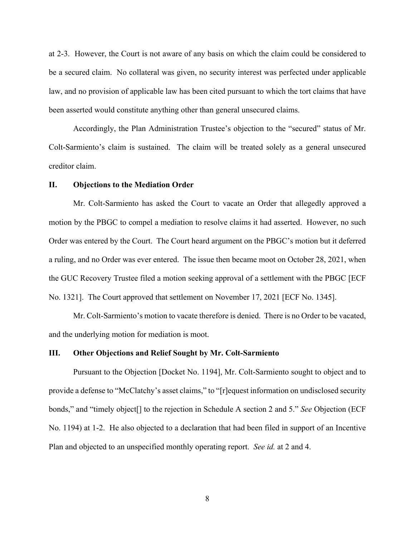at 2-3. However, the Court is not aware of any basis on which the claim could be considered to be a secured claim. No collateral was given, no security interest was perfected under applicable law, and no provision of applicable law has been cited pursuant to which the tort claims that have been asserted would constitute anything other than general unsecured claims.

Accordingly, the Plan Administration Trustee's objection to the "secured" status of Mr. Colt-Sarmiento's claim is sustained. The claim will be treated solely as a general unsecured creditor claim.

### **II. Objections to the Mediation Order**

Mr. Colt-Sarmiento has asked the Court to vacate an Order that allegedly approved a motion by the PBGC to compel a mediation to resolve claims it had asserted. However, no such Order was entered by the Court. The Court heard argument on the PBGC's motion but it deferred a ruling, and no Order was ever entered. The issue then became moot on October 28, 2021, when the GUC Recovery Trustee filed a motion seeking approval of a settlement with the PBGC [ECF No. 1321]. The Court approved that settlement on November 17, 2021 [ECF No. 1345].

Mr. Colt-Sarmiento's motion to vacate therefore is denied. There is no Order to be vacated, and the underlying motion for mediation is moot.

#### **III. Other Objections and Relief Sought by Mr. Colt-Sarmiento**

Pursuant to the Objection [Docket No. 1194], Mr. Colt-Sarmiento sought to object and to provide a defense to "McClatchy's asset claims," to "[r]equest information on undisclosed security bonds," and "timely object[] to the rejection in Schedule A section 2 and 5." *See* Objection (ECF No. 1194) at 1-2. He also objected to a declaration that had been filed in support of an Incentive Plan and objected to an unspecified monthly operating report. *See id.* at 2 and 4.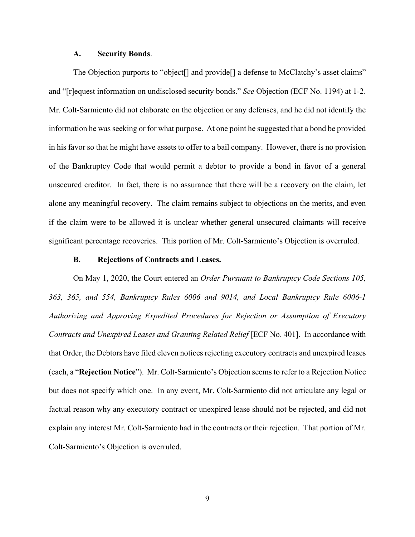#### **A. Security Bonds**.

The Objection purports to "object[] and provide[] a defense to McClatchy's asset claims" and "[r]equest information on undisclosed security bonds." *See* Objection (ECF No. 1194) at 1-2. Mr. Colt-Sarmiento did not elaborate on the objection or any defenses, and he did not identify the information he was seeking or for what purpose. At one point he suggested that a bond be provided in his favor so that he might have assets to offer to a bail company. However, there is no provision of the Bankruptcy Code that would permit a debtor to provide a bond in favor of a general unsecured creditor. In fact, there is no assurance that there will be a recovery on the claim, let alone any meaningful recovery. The claim remains subject to objections on the merits, and even if the claim were to be allowed it is unclear whether general unsecured claimants will receive significant percentage recoveries. This portion of Mr. Colt-Sarmiento's Objection is overruled.

# **B. Rejections of Contracts and Leases.**

On May 1, 2020, the Court entered an *Order Pursuant to Bankruptcy Code Sections 105, 363, 365, and 554, Bankruptcy Rules 6006 and 9014, and Local Bankruptcy Rule 6006-1 Authorizing and Approving Expedited Procedures for Rejection or Assumption of Executory Contracts and Unexpired Leases and Granting Related Relief* [ECF No. 401]. In accordance with that Order, the Debtors have filed eleven notices rejecting executory contracts and unexpired leases (each, a "**Rejection Notice**"). Mr. Colt-Sarmiento's Objection seems to refer to a Rejection Notice but does not specify which one. In any event, Mr. Colt-Sarmiento did not articulate any legal or factual reason why any executory contract or unexpired lease should not be rejected, and did not explain any interest Mr. Colt-Sarmiento had in the contracts or their rejection. That portion of Mr. Colt-Sarmiento's Objection is overruled.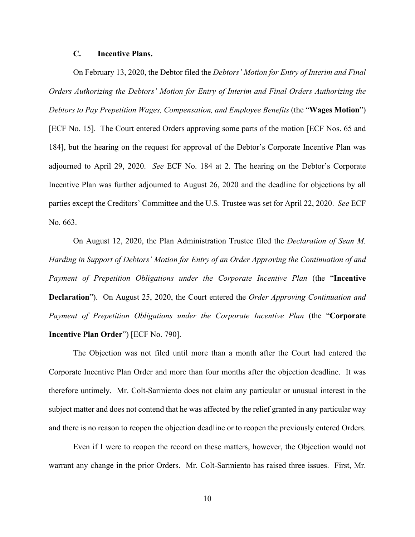# **C. Incentive Plans.**

On February 13, 2020, the Debtor filed the *Debtors' Motion for Entry of Interim and Final Orders Authorizing the Debtors' Motion for Entry of Interim and Final Orders Authorizing the Debtors to Pay Prepetition Wages, Compensation, and Employee Benefits* (the "**Wages Motion**") [ECF No. 15]. The Court entered Orders approving some parts of the motion [ECF Nos. 65 and 184], but the hearing on the request for approval of the Debtor's Corporate Incentive Plan was adjourned to April 29, 2020. *See* ECF No. 184 at 2. The hearing on the Debtor's Corporate Incentive Plan was further adjourned to August 26, 2020 and the deadline for objections by all parties except the Creditors' Committee and the U.S. Trustee was set for April 22, 2020. *See* ECF No. 663.

On August 12, 2020, the Plan Administration Trustee filed the *Declaration of Sean M. Harding in Support of Debtors' Motion for Entry of an Order Approving the Continuation of and Payment of Prepetition Obligations under the Corporate Incentive Plan* (the "**Incentive Declaration**"). On August 25, 2020, the Court entered the *Order Approving Continuation and Payment of Prepetition Obligations under the Corporate Incentive Plan* (the "**Corporate Incentive Plan Order**") [ECF No. 790].

The Objection was not filed until more than a month after the Court had entered the Corporate Incentive Plan Order and more than four months after the objection deadline. It was therefore untimely. Mr. Colt-Sarmiento does not claim any particular or unusual interest in the subject matter and does not contend that he was affected by the relief granted in any particular way and there is no reason to reopen the objection deadline or to reopen the previously entered Orders.

Even if I were to reopen the record on these matters, however, the Objection would not warrant any change in the prior Orders. Mr. Colt-Sarmiento has raised three issues. First, Mr.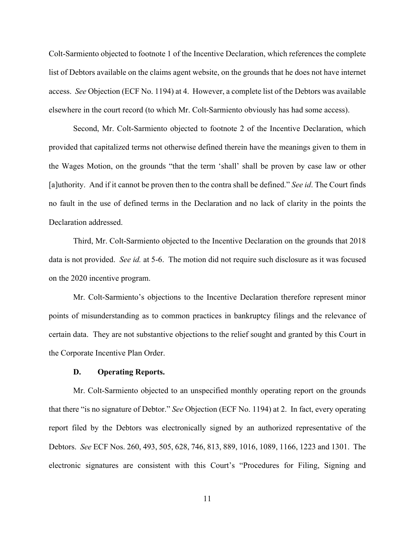Colt-Sarmiento objected to footnote 1 of the Incentive Declaration, which references the complete list of Debtors available on the claims agent website, on the grounds that he does not have internet access. *See* Objection (ECF No. 1194) at 4. However, a complete list of the Debtors was available elsewhere in the court record (to which Mr. Colt-Sarmiento obviously has had some access).

Second, Mr. Colt-Sarmiento objected to footnote 2 of the Incentive Declaration, which provided that capitalized terms not otherwise defined therein have the meanings given to them in the Wages Motion, on the grounds "that the term 'shall' shall be proven by case law or other [a]uthority. And if it cannot be proven then to the contra shall be defined." *See id*. The Court finds no fault in the use of defined terms in the Declaration and no lack of clarity in the points the Declaration addressed.

Third, Mr. Colt-Sarmiento objected to the Incentive Declaration on the grounds that 2018 data is not provided. *See id.* at 5-6. The motion did not require such disclosure as it was focused on the 2020 incentive program.

Mr. Colt-Sarmiento's objections to the Incentive Declaration therefore represent minor points of misunderstanding as to common practices in bankruptcy filings and the relevance of certain data. They are not substantive objections to the relief sought and granted by this Court in the Corporate Incentive Plan Order.

# **D. Operating Reports.**

Mr. Colt-Sarmiento objected to an unspecified monthly operating report on the grounds that there "is no signature of Debtor." *See* Objection (ECF No. 1194) at 2. In fact, every operating report filed by the Debtors was electronically signed by an authorized representative of the Debtors. *See* ECF Nos. 260, 493, 505, 628, 746, 813, 889, 1016, 1089, 1166, 1223 and 1301. The electronic signatures are consistent with this Court's "Procedures for Filing, Signing and